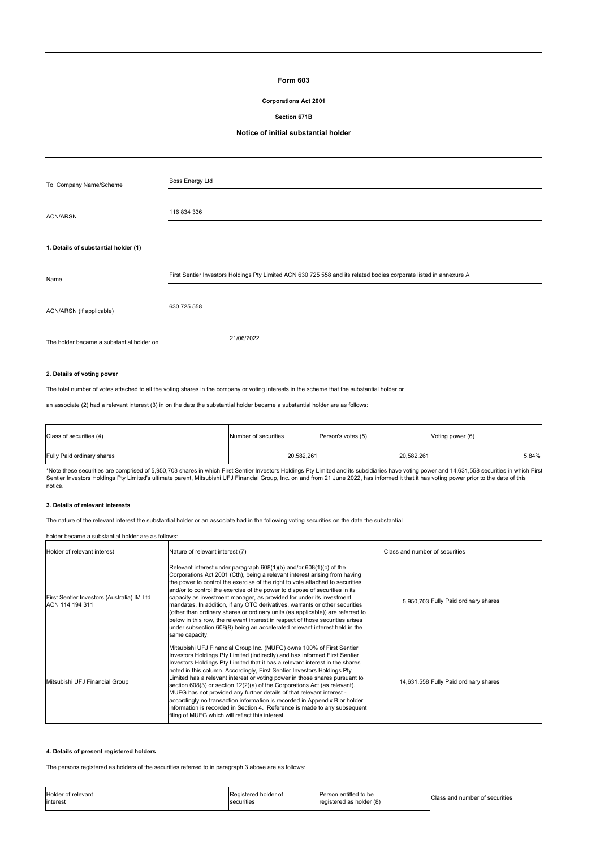# **Form 603**

# **Corporations Act 2001**

# **Section 671B**

# **Notice of initial substantial holder**

| To Company Name/Scheme                    | <b>Boss Energy Ltd</b>                                                                                             |
|-------------------------------------------|--------------------------------------------------------------------------------------------------------------------|
|                                           |                                                                                                                    |
| <b>ACN/ARSN</b>                           | 116 834 336                                                                                                        |
|                                           |                                                                                                                    |
| 1. Details of substantial holder (1)      |                                                                                                                    |
|                                           |                                                                                                                    |
| Name                                      | First Sentier Investors Holdings Pty Limited ACN 630 725 558 and its related bodies corporate listed in annexure A |
|                                           |                                                                                                                    |
| ACN/ARSN (if applicable)                  | 630 725 558                                                                                                        |
|                                           |                                                                                                                    |
| The holder became a substantial holder on | 21/06/2022                                                                                                         |

# **2. Details of voting power**

The total number of votes attached to all the voting shares in the company or voting interests in the scheme that the substantial holder or

an associate (2) had a relevant interest (3) in on the date the substantial holder became a substantial holder are as follows:

| Class of securities (4)    | Number of securities | Person's votes (5) | Voting power (6) |  |
|----------------------------|----------------------|--------------------|------------------|--|
| Fully Paid ordinary shares | 20,582,261           | 20,582,261         | 5.84%            |  |

\*Note these securities are comprised of 5,950,703 shares in which First Sentier Investors Holdings Pty Limited and its subsidiaries have voting power and 14,631,558 securities in which First<br>Sentier Investors Holdings Pty notice.

# **3. Details of relevant interests**

The nature of the relevant interest the substantial holder or an associate had in the following voting securities on the date the substantial

# holder became a substantial holder are as follows:

| Holder of relevant interest                                   | Nature of relevant interest (7)                                                                                                                                                                                                                                                                                                                                                                                                                                                                                                                                                                                                                                                                                                                                    | Class and number of securities        |
|---------------------------------------------------------------|--------------------------------------------------------------------------------------------------------------------------------------------------------------------------------------------------------------------------------------------------------------------------------------------------------------------------------------------------------------------------------------------------------------------------------------------------------------------------------------------------------------------------------------------------------------------------------------------------------------------------------------------------------------------------------------------------------------------------------------------------------------------|---------------------------------------|
| First Sentier Investors (Australia) IM Ltd<br>ACN 114 194 311 | Relevant interest under paragraph 608(1)(b) and/or 608(1)(c) of the<br>Corporations Act 2001 (Cth), being a relevant interest arising from having<br>the power to control the exercise of the right to vote attached to securities<br>and/or to control the exercise of the power to dispose of securities in its<br>capacity as investment manager, as provided for under its investment<br>mandates. In addition, if any OTC derivatives, warrants or other securities<br>(other than ordinary shares or ordinary units (as applicable)) are referred to<br>below in this row, the relevant interest in respect of those securities arises<br>under subsection 608(8) being an accelerated relevant interest held in the<br>same capacity.                       | 5.950.703 Fully Paid ordinary shares  |
| Mitsubishi UFJ Financial Group                                | Mitsubishi UFJ Financial Group Inc. (MUFG) owns 100% of First Sentier<br>Investors Holdings Pty Limited (indirectly) and has informed First Sentier<br>Investors Holdings Pty Limited that it has a relevant interest in the shares<br>noted in this column. Accordingly, First Sentier Investors Holdings Pty<br>Limited has a relevant interest or voting power in those shares pursuant to<br>section 608(3) or section 12(2)(a) of the Corporations Act (as relevant).<br>MUFG has not provided any further details of that relevant interest -<br>accordingly no transaction information is recorded in Appendix B or holder<br>information is recorded in Section 4. Reference is made to any subsequent<br>filing of MUFG which will reflect this interest. | 14,631,558 Fully Paid ordinary shares |

#### **4. Details of present registered holders**

The persons registered as holders of the securities referred to in paragraph 3 above are as follows:

| Holder of relevant | Registered holder of | Person entitled to be    | Class and number of securities |
|--------------------|----------------------|--------------------------|--------------------------------|
| interest           | securitie:           | registered as holder (8) |                                |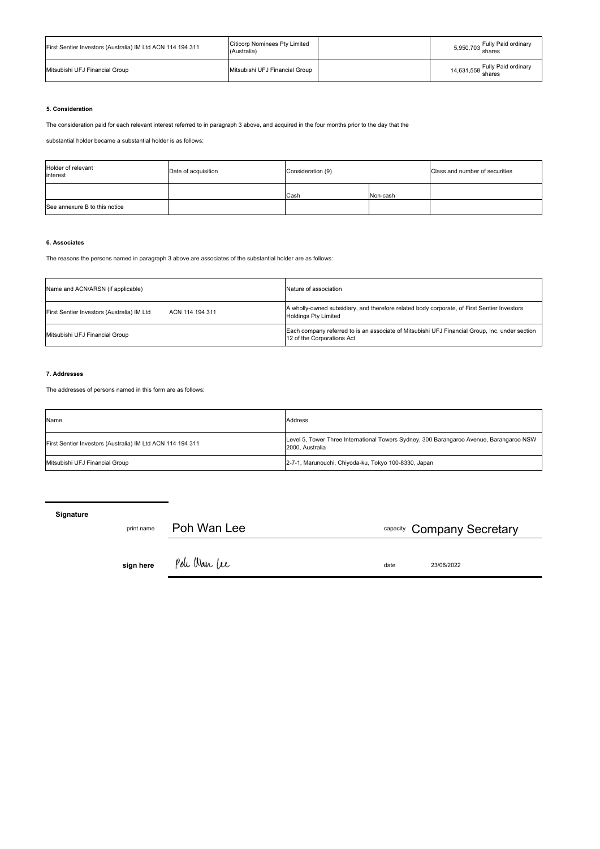| First Sentier Investors (Australia) IM Ltd ACN 114 194 311 | <b>Citicorp Nominees Pty Limited</b><br>(Australia) | 5,950,703 Fully Paid ordinary<br>shares  |
|------------------------------------------------------------|-----------------------------------------------------|------------------------------------------|
| Mitsubishi UFJ Financial Group                             | Mitsubishi UFJ Financial Group                      | 14,631,558 Fully Paid ordinary<br>shares |

# **5. Consideration**

The consideration paid for each relevant interest referred to in paragraph 3 above, and acquired in the four months prior to the day that the

substantial holder became a substantial holder is as follows:

| Holder of relevant<br>interest | Date of acquisition | Consideration (9) |          | Class and number of securities |
|--------------------------------|---------------------|-------------------|----------|--------------------------------|
|                                |                     | Cash              | Non-cash |                                |
| See annexure B to this notice  |                     |                   |          |                                |

# **6. Associates**

The reasons the persons named in paragraph 3 above are associates of the substantial holder are as follows:

| Name and ACN/ARSN (if applicable)                             | Nature of association                                                                                                        |  |  |
|---------------------------------------------------------------|------------------------------------------------------------------------------------------------------------------------------|--|--|
| First Sentier Investors (Australia) IM Ltd<br>ACN 114 194 311 | A wholly-owned subsidiary, and therefore related body corporate, of First Sentier Investors<br><b>Holdings Pty Limited</b>   |  |  |
| Mitsubishi UFJ Financial Group                                | Each company referred to is an associate of Mitsubishi UFJ Financial Group, Inc. under section<br>12 of the Corporations Act |  |  |

# **7. Addresses**

The addresses of persons named in this form are as follows:

| Name                                                       | Address                                                                                                    |
|------------------------------------------------------------|------------------------------------------------------------------------------------------------------------|
| First Sentier Investors (Australia) IM Ltd ACN 114 194 311 | Level 5, Tower Three International Towers Sydney, 300 Barangaroo Avenue, Barangaroo NSW<br>2000. Australia |
| Mitsubishi UFJ Financial Group                             | 2-7-1, Marunouchi, Chiyoda-ku, Tokyo 100-8330, Japan                                                       |

**Signature** print name Poh Wan Lee **sign here** Pole Ware let capacity Company Secretary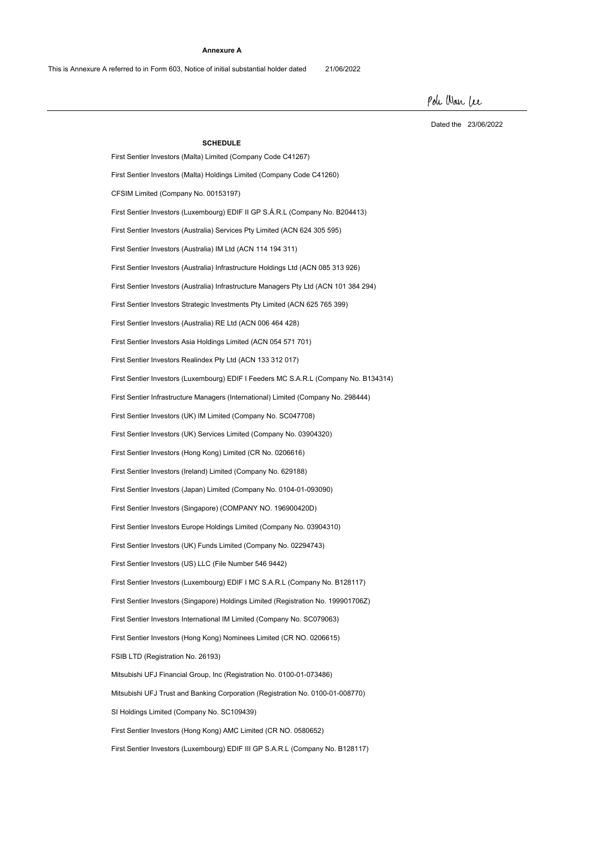### **Annexure A**

This is Annexure A referred to in Form 603, Notice of initial substantial holder dated 21/06/2022

Pole War Lee

Dated the 23/06/2022

**SCHEDULE** First Sentier Investors (Malta) Limited (Company Code C41267) First Sentier Investors (Australia) Infrastructure Holdings Ltd (ACN 085 313 926) First Sentier Investors (Luxembourg) EDIF III GP S.A.R.L (Company No. B128117) First Sentier Investors Strategic Investments Pty Limited (ACN 625 765 399) SI Holdings Limited (Company No. SC109439) CFSIM Limited (Company No. 00153197) Mitsubishi UFJ Financial Group, Inc (Registration No. 0100-01-073486) First Sentier Investors (Australia) Services Pty Limited (ACN 624 305 595) First Sentier Investors (Luxembourg) EDIF I Feeders MC S.A.R.L (Company No. B134314) First Sentier Investors Asia Holdings Limited (ACN 054 571 701) First Sentier Investors (Hong Kong) Limited (CR No. 0206616) First Sentier Investors (UK) IM Limited (Company No. SC047708) First Sentier Investors (Hong Kong) AMC Limited (CR NO. 0580652) First Sentier Investors (Luxembourg) EDIF II GP S.Á.R.L (Company No. B204413) Mitsubishi UFJ Trust and Banking Corporation (Registration No. 0100-01-008770) First Sentier Investors (Australia) RE Ltd (ACN 006 464 428) FSIB LTD (Registration No. 26193) First Sentier Investors (Australia) IM Ltd (ACN 114 194 311) First Sentier Infrastructure Managers (International) Limited (Company No. 298444) First Sentier Investors Realindex Pty Ltd (ACN 133 312 017) First Sentier Investors (Ireland) Limited (Company No. 629188) First Sentier Investors (UK) Services Limited (Company No. 03904320) First Sentier Investors (Japan) Limited (Company No. 0104-01-093090) First Sentier Investors Europe Holdings Limited (Company No. 03904310) First Sentier Investors (US) LLC (File Number 546 9442) First Sentier Investors (Singapore) Holdings Limited (Registration No. 199901706Z) First Sentier Investors (Hong Kong) Nominees Limited (CR NO. 0206615) First Sentier Investors (Singapore) (COMPANY NO. 196900420D) First Sentier Investors (UK) Funds Limited (Company No. 02294743) First Sentier Investors (Luxembourg) EDIF I MC S.A.R.L (Company No. B128117) First Sentier Investors International IM Limited (Company No. SC079063) First Sentier Investors (Malta) Holdings Limited (Company Code C41260) First Sentier Investors (Australia) Infrastructure Managers Pty Ltd (ACN 101 384 294)